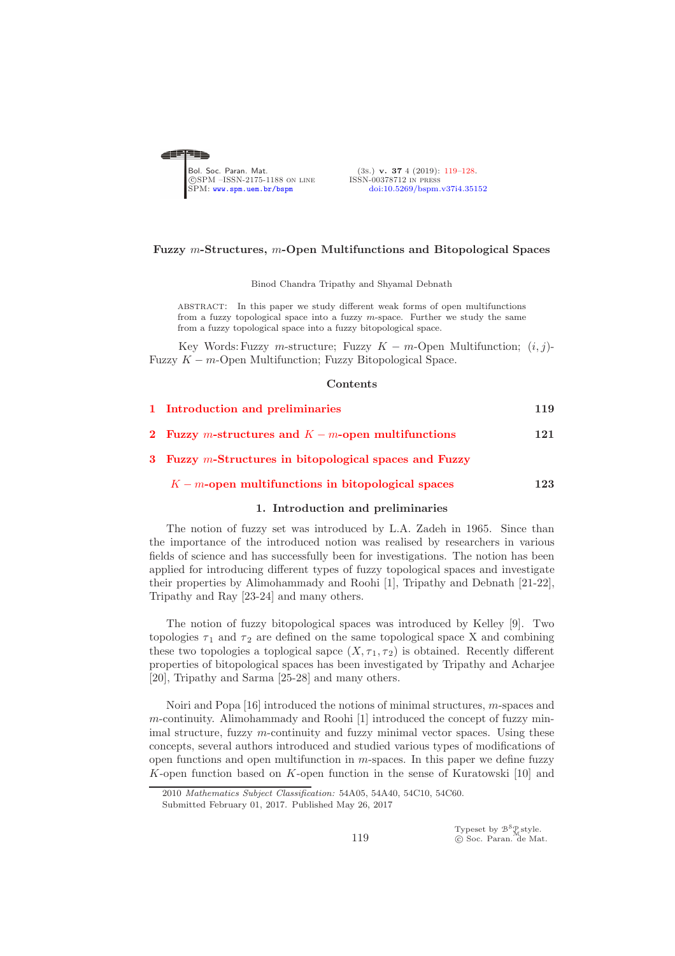<span id="page-0-0"></span>

(3s.) v. 37 4 (2019): [119](#page-0-0)[–128](#page-7-0).<br>ISSN-00378712 IN PRESS [doi:10.5269/bspm.v37i4.35152](http://dx.doi.org/10.5269/bspm.v37i4.35152)

### Fuzzy m-Structures, m-Open Multifunctions and Bitopological Spaces

Binod Chandra Tripathy and Shyamal Debnath

abstract: In this paper we study different weak forms of open multifunctions from a fuzzy topological space into a fuzzy  $m$ -space. Further we study the same from a fuzzy topological space into a fuzzy bitopological space.

Key Words: Fuzzy m-structure; Fuzzy  $K - m$ -Open Multifunction;  $(i, j)$ -Fuzzy  $K - m$ -Open Multifunction: Fuzzy Bitopological Space.

#### **Contents**

| 1 Introduction and preliminaries                    | 119 |
|-----------------------------------------------------|-----|
| 2 Fuzzy m-structures and $K-m$ -open multifunctions | 121 |

3 Fuzzy m[-Structures in bitopological spaces and Fuzzy](#page-4-0)

<span id="page-0-1"></span> $K - m$ [-open multifunctions in bitopological spaces](#page-4-0) 123

# 1. Introduction and preliminaries

The notion of fuzzy set was introduced by L.A. Zadeh in 1965. Since than the importance of the introduced notion was realised by researchers in various fields of science and has successfully been for investigations. The notion has been applied for introducing different types of fuzzy topological spaces and investigate their properties by Alimohammady and Roohi [1], Tripathy and Debnath [21-22], Tripathy and Ray [23-24] and many others.

The notion of fuzzy bitopological spaces was introduced by Kelley [9]. Two topologies  $\tau_1$  and  $\tau_2$  are defined on the same topological space X and combining these two topologies a toplogical sapce  $(X, \tau_1, \tau_2)$  is obtained. Recently different properties of bitopological spaces has been investigated by Tripathy and Acharjee [20], Tripathy and Sarma [25-28] and many others.

Noiri and Popa [16] introduced the notions of minimal structures, m-spaces and m-continuity. Alimohammady and Roohi [1] introduced the concept of fuzzy minimal structure, fuzzy  $m$ -continuity and fuzzy minimal vector spaces. Using these concepts, several authors introduced and studied various types of modifications of open functions and open multifunction in m-spaces. In this paper we define fuzzy K-open function based on K-open function in the sense of Kuratowski  $[10]$  and

Typeset by  $\mathcal{B}^{\mathcal{S}}_{\mathcal{M}}$ style.<br>© Soc. Paran. de Mat.

<sup>2010</sup> *Mathematics Subject Classification:* 54A05, 54A40, 54C10, 54C60.

Submitted February 01, 2017. Published May 26, 2017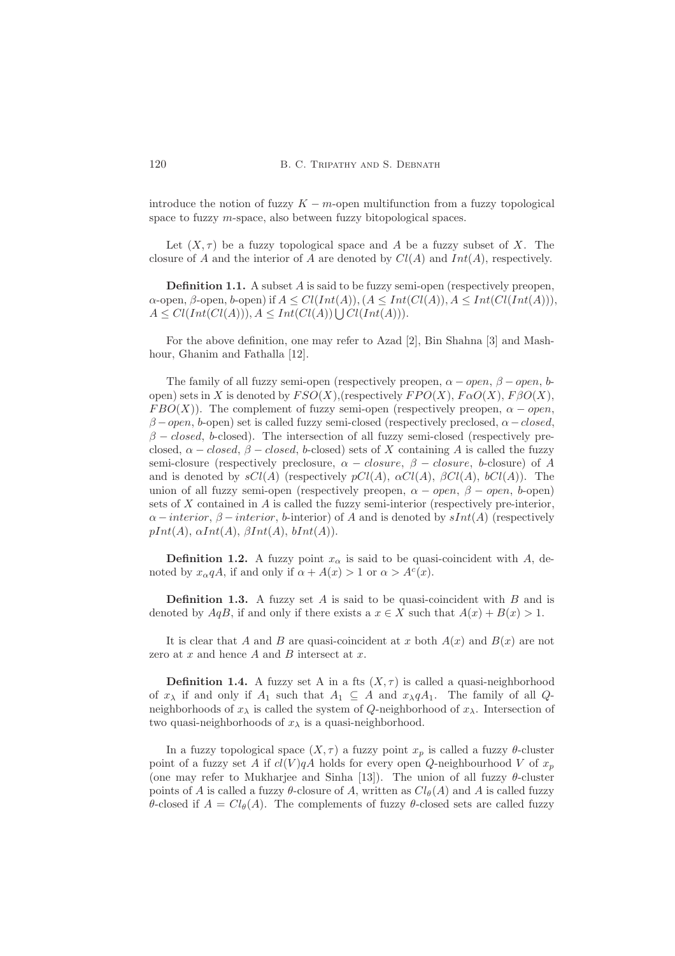introduce the notion of fuzzy  $K - m$ -open multifunction from a fuzzy topological space to fuzzy m-space, also between fuzzy bitopological spaces.

Let  $(X, \tau)$  be a fuzzy topological space and A be a fuzzy subset of X. The closure of A and the interior of A are denoted by  $Cl(A)$  and  $Int(A)$ , respectively.

**Definition 1.1.** A subset  $A$  is said to be fuzzy semi-open (respectively preopen,  $\alpha$ -open,  $\beta$ -open,  $b$ -open) if  $A \leq Cl(Int(A)), (A \leq Int(Cl(A)), A \leq Int(ClInt(A))),$  $A \leq Cl(Int(Cl(A))), A \leq Int(Cl(A)) \bigcup Cl(Int(A))).$ 

For the above definition, one may refer to Azad [2], Bin Shahna [3] and Mashhour, Ghanim and Fathalla [12].

The family of all fuzzy semi-open (respectively preopen,  $\alpha - open$ ,  $\beta - open$ , bopen) sets in X is denoted by  $FSO(X)$ , (respectively  $FPO(X)$ ,  $F\alpha O(X)$ ,  $F\beta O(X)$ ,  $FBO(X)$ ). The complement of fuzzy semi-open (respectively preopen,  $\alpha$  – open,  $\beta$  – open, b-open) set is called fuzzy semi-closed (respectively preclosed,  $\alpha$  – closed,  $\beta$  – closed, b-closed). The intersection of all fuzzy semi-closed (respectively preclosed,  $\alpha - closed$ ,  $\beta - closed$ , b-closed) sets of X containing A is called the fuzzy semi-closure (respectively preclosure,  $\alpha - closure$ ,  $\beta - closure$ , b-closure) of A and is denoted by  $sCl(A)$  (respectively  $pCl(A)$ ,  $\alpha Cl(A)$ ,  $\beta Cl(A)$ ,  $bCl(A)$ ). The union of all fuzzy semi-open (respectively preopen,  $\alpha - open$ ,  $\beta - open$ , b-open) sets of X contained in A is called the fuzzy semi-interior (respectively pre-interior,  $\alpha$  – *interior*,  $\beta$  – *interior*, *b*-interior) of A and is denoted by sInt(A) (respectively  $pInt(A), \alpha Int(A), \beta Int(A), bInt(A)).$ 

**Definition 1.2.** A fuzzy point  $x_{\alpha}$  is said to be quasi-coincident with A, denoted by  $x_{\alpha}qA$ , if and only if  $\alpha + A(x) > 1$  or  $\alpha > A^{c}(x)$ .

**Definition 1.3.** A fuzzy set  $A$  is said to be quasi-coincident with  $B$  and is denoted by  $AqB$ , if and only if there exists a  $x \in X$  such that  $A(x) + B(x) > 1$ .

It is clear that A and B are quasi-coincident at x both  $A(x)$  and  $B(x)$  are not zero at  $x$  and hence  $A$  and  $B$  intersect at  $x$ .

**Definition 1.4.** A fuzzy set A in a fts  $(X, \tau)$  is called a quasi-neighborhood of  $x_{\lambda}$  if and only if  $A_1$  such that  $A_1 \subseteq A$  and  $x_{\lambda} q A_1$ . The family of all  $Q$ neighborhoods of  $x_{\lambda}$  is called the system of Q-neighborhood of  $x_{\lambda}$ . Intersection of two quasi-neighborhoods of  $x_{\lambda}$  is a quasi-neighborhood.

In a fuzzy topological space  $(X, \tau)$  a fuzzy point  $x_p$  is called a fuzzy  $\theta$ -cluster point of a fuzzy set A if  $cl(V)qA$  holds for every open Q-neighbourhood V of  $x_p$ (one may refer to Mukharjee and Sinha [13]). The union of all fuzzy  $\theta$ -cluster points of A is called a fuzzy  $\theta$ -closure of A, written as  $Cl_{\theta}(A)$  and A is called fuzzy θ-closed if  $A = Cl_{\theta}(A)$ . The complements of fuzzy θ-closed sets are called fuzzy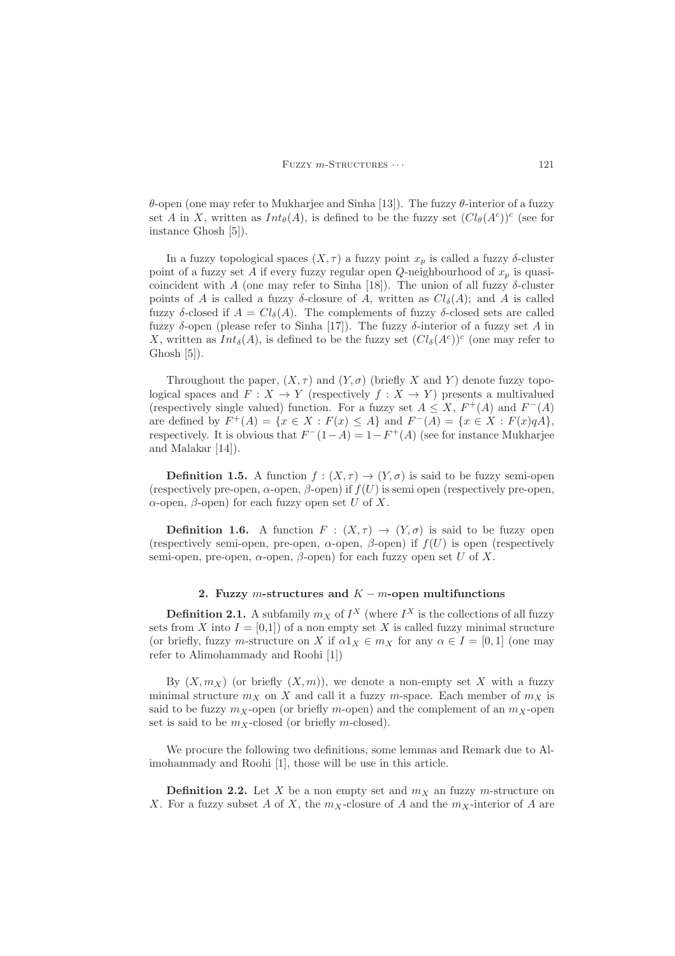θ-open (one may refer to Mukharjee and Sinha [13]). The fuzzy θ-interior of a fuzzy set A in X, written as  $Int_{\theta}(A)$ , is defined to be the fuzzy set  $(Cl_{\theta}(A^{c}))^{c}$  (see for instance Ghosh [5]).

In a fuzzy topological spaces  $(X, \tau)$  a fuzzy point  $x_p$  is called a fuzzy  $\delta$ -cluster point of a fuzzy set A if every fuzzy regular open Q-neighbourhood of  $x_p$  is quasicoincident with A (one may refer to Sinha [18]). The union of all fuzzy  $\delta$ -cluster points of A is called a fuzzy  $\delta$ -closure of A, written as  $Cl_{\delta}(A)$ ; and A is called fuzzy δ-closed if  $A = Cl<sub>δ</sub>(A)$ . The complements of fuzzy δ-closed sets are called fuzzy δ-open (please refer to Sinha [17]). The fuzzy δ-interior of a fuzzy set A in X, written as  $Int_{\delta}(A)$ , is defined to be the fuzzy set  $(Cl_{\delta}(A^c))^c$  (one may refer to Ghosh  $[5]$ ).

Throughout the paper,  $(X, \tau)$  and  $(Y, \sigma)$  (briefly X and Y) denote fuzzy topological spaces and  $F: X \to Y$  (respectively  $f: X \to Y$ ) presents a multivalued (respectively single valued) function. For a fuzzy set  $A \leq X$ ,  $F^+(A)$  and  $F^-(A)$ are defined by  $F^+(A) = \{x \in X : F(x) \le A\}$  and  $F^-(A) = \{x \in X : F(x)qA\},\$ respectively. It is obvious that  $F^-(1-A) = 1 - F^+(A)$  (see for instance Mukharjee and Malakar [14]).

**Definition 1.5.** A function  $f : (X, \tau) \to (Y, \sigma)$  is said to be fuzzy semi-open (respectively pre-open,  $\alpha$ -open,  $\beta$ -open) if  $f(U)$  is semi open (respectively pre-open, α-open, β-open) for each fuzzy open set U of X.

**Definition 1.6.** A function  $F : (X, \tau) \to (Y, \sigma)$  is said to be fuzzy open (respectively semi-open, pre-open,  $\alpha$ -open,  $\beta$ -open) if  $f(U)$  is open (respectively semi-open, pre-open,  $\alpha$ -open,  $\beta$ -open) for each fuzzy open set U of X.

## 2. Fuzzy m-structures and  $K - m$ -open multifunctions

<span id="page-2-0"></span>**Definition 2.1.** A subfamily  $m_X$  of  $I^X$  (where  $I^X$  is the collections of all fuzzy sets from X into  $I = [0,1]$  of a non empty set X is called fuzzy minimal structure (or briefly, fuzzy m-structure on X if  $\alpha 1_X \in m_X$  for any  $\alpha \in I = [0, 1]$  (one may refer to Alimohammady and Roohi [1])

By  $(X, m_X)$  (or briefly  $(X, m)$ ), we denote a non-empty set X with a fuzzy minimal structure  $m_X$  on X and call it a fuzzy m-space. Each member of  $m_X$  is said to be fuzzy  $m_X$ -open (or briefly m-open) and the complement of an  $m_X$ -open set is said to be  $m<sub>X</sub>$ -closed (or briefly m-closed).

We procure the following two definitions, some lemmas and Remark due to Alimohammady and Roohi [1], those will be use in this article.

**Definition 2.2.** Let X be a non empty set and  $m<sub>X</sub>$  an fuzzy m-structure on X. For a fuzzy subset A of X, the  $m<sub>X</sub>$ -closure of A and the  $m<sub>X</sub>$ -interior of A are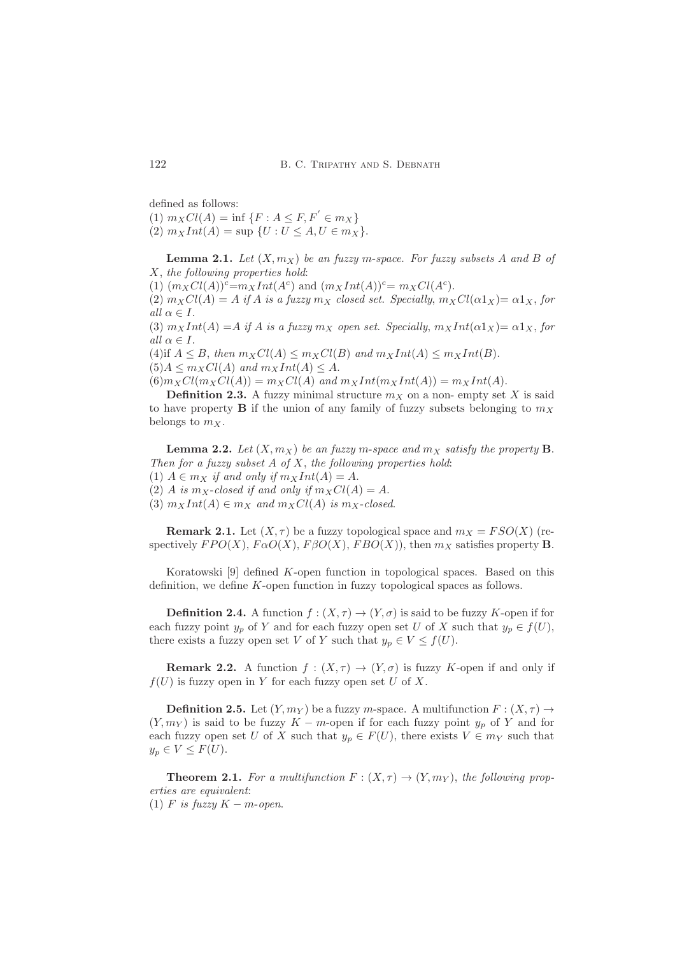defined as follows:

(1)  $m_X Cl(A) = \inf \{F : A \leq F, F' \in m_X\}$ (2)  $m_XInt(A) = \sup \{U : U \leq A, U \in m_X\}.$ 

**Lemma 2.1.** Let  $(X, m_X)$  be an fuzzy m-space. For fuzzy subsets A and B of X, the following properties hold:

(1)  $(m_X Cl(A))^c = m_X Int(A^c)$  and  $(m_X Int(A))^c = m_X Cl(A^c)$ .

(2)  $m_XCl(A) = A$  if A is a fuzzy  $m_X$  closed set. Specially,  $m_XCl(\alpha 1_X) = \alpha 1_X$ , for all  $\alpha \in I$ .

(3)  $m_XInt(A) = A$  if A is a fuzzy  $m_X$  open set. Specially,  $m_XInt(\alpha 1_X) = \alpha 1_X$ , for all  $\alpha \in I$ .

(4)if  $A \leq B$ , then  $m_XCl(A) \leq m_XCl(B)$  and  $m_XInt(A) \leq m_XInt(B)$ .  $(5)A \leq m_XCl(A)$  and  $m_XInt(A) \leq A$ .

 $(6)m_XCl(m_XCl(A)) = m_XCl(A)$  and  $m_XInt(m_XInt(A)) = m_XInt(A)$ .

**Definition 2.3.** A fuzzy minimal structure  $m<sub>X</sub>$  on a non- empty set X is said to have property **B** if the union of any family of fuzzy subsets belonging to  $m<sub>X</sub>$ belongs to  $m_X$ .

**Lemma 2.2.** Let  $(X, m_X)$  be an fuzzy m-space and  $m_X$  satisfy the property **B**. Then for a fuzzy subset  $A$  of  $X$ , the following properties hold: (1)  $A \in m_X$  if and only if  $m_XInt(A) = A$ . (2) A is  $m_X$ -closed if and only if  $m_XCl(A) = A$ . (3)  $m_XInt(A) \in m_X$  and  $m_XCl(A)$  is  $m_X$ -closed.

**Remark 2.1.** Let  $(X, \tau)$  be a fuzzy topological space and  $m_X = FSO(X)$  (respectively  $FPO(X)$ ,  $FAO(X)$ ,  $FBO(X)$ ,  $FBO(X)$ ), then  $m_X$  satisfies property **B**.

Koratowski [9] defined K-open function in topological spaces. Based on this definition, we define K-open function in fuzzy topological spaces as follows.

**Definition 2.4.** A function  $f : (X, \tau) \to (Y, \sigma)$  is said to be fuzzy K-open if for each fuzzy point  $y_p$  of Y and for each fuzzy open set U of X such that  $y_p \in f(U)$ , there exists a fuzzy open set V of Y such that  $y_p \in V \leq f(U)$ .

**Remark 2.2.** A function  $f : (X, \tau) \to (Y, \sigma)$  is fuzzy K-open if and only if  $f(U)$  is fuzzy open in Y for each fuzzy open set U of X.

**Definition 2.5.** Let  $(Y, m_Y)$  be a fuzzy m-space. A multifunction  $F : (X, \tau) \to$  $(Y, m_Y)$  is said to be fuzzy K – m-open if for each fuzzy point  $y_p$  of Y and for each fuzzy open set U of X such that  $y_p \in F(U)$ , there exists  $V \in m_Y$  such that  $y_p \in V \leq F(U)$ .

**Theorem 2.1.** For a multifunction  $F: (X, \tau) \to (Y, m_Y)$ , the following properties are equivalent:

(1) F is fuzzy  $K - m$ -open.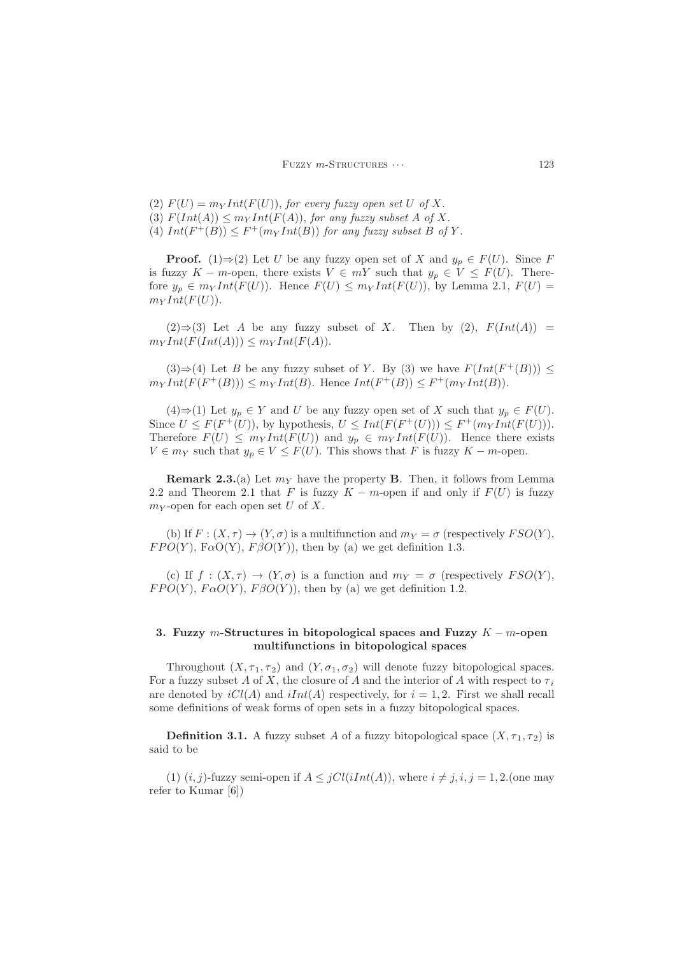(2)  $F(U) = m<sub>Y</sub> Int(F(U))$ , for every fuzzy open set U of X. (3)  $F(Int(A)) \leq m_Y Int(F(A)),$  for any fuzzy subset A of X. (4)  $Int(F^+(B)) \leq F^+(m_Y Int(B))$  for any fuzzy subset B of Y.

**Proof.** (1)⇒(2) Let U be any fuzzy open set of X and  $y_p \in F(U)$ . Since F is fuzzy K – m-open, there exists  $V \in mY$  such that  $y_p \in V \leq F(U)$ . Therefore  $y_p \in m_Y Int(F(U))$ . Hence  $F(U) \leq m_Y Int(F(U))$ , by Lemma 2.1,  $F(U)$  $m_Y Int(F(U)).$ 

 $(2) \Rightarrow (3)$  Let A be any fuzzy subset of X. Then by  $(2)$ ,  $F(Int(A)) =$  $m_Y Int(F(Int(A))) \leq m_Y Int(F(A)).$ 

(3)  $\Rightarrow$  (4) Let *B* be any fuzzy subset of *Y*. By (3) we have  $F(Int(F^+(B)))$  ≤  $m_Y Int(F(F^+(B))) \leq m_Y Int(B)$ . Hence  $Int(F^+(B)) \leq F^+(m_Y Int(B))$ .

 $(4) \Rightarrow (1)$  Let  $y_p \in Y$  and U be any fuzzy open set of X such that  $y_p \in F(U)$ . Since  $U \leq F(F^+(U))$ , by hypothesis,  $U \leq Int(F(F^+(U))) \leq F^+(m_Y Int(F(U)))$ . Therefore  $F(U) \leq m_Y Int(F(U))$  and  $y_p \in m_Y Int(F(U))$ . Hence there exists  $V \in m_Y$  such that  $y_p \in V \leq F(U)$ . This shows that F is fuzzy  $K - m$ -open.

**Remark 2.3.**(a) Let  $m<sub>Y</sub>$  have the property **B**. Then, it follows from Lemma 2.2 and Theorem 2.1 that F is fuzzy  $K - m$ -open if and only if  $F(U)$  is fuzzy  $m<sub>Y</sub>$ -open for each open set U of X.

(b) If  $F: (X, \tau) \to (Y, \sigma)$  is a multifunction and  $m_Y = \sigma$  (respectively  $FSO(Y)$ ,  $FPO(Y)$ ,  $F\alpha O(Y)$ ,  $F\beta O(Y)$ , then by (a) we get definition 1.3.

(c) If  $f : (X, \tau) \to (Y, \sigma)$  is a function and  $m_Y = \sigma$  (respectively  $FSO(Y)$ ,  $FPO(Y)$ ,  $F\alpha O(Y)$ ,  $F\beta O(Y)$ , then by (a) we get definition 1.2.

## <span id="page-4-0"></span>3. Fuzzy m-Structures in bitopological spaces and Fuzzy  $K - m$ -open multifunctions in bitopological spaces

Throughout  $(X, \tau_1, \tau_2)$  and  $(Y, \sigma_1, \sigma_2)$  will denote fuzzy bitopological spaces. For a fuzzy subset A of X, the closure of A and the interior of A with respect to  $\tau_i$ are denoted by  $iCl(A)$  and  $iInt(A)$  respectively, for  $i = 1, 2$ . First we shall recall some definitions of weak forms of open sets in a fuzzy bitopological spaces.

**Definition 3.1.** A fuzzy subset A of a fuzzy bitopological space  $(X, \tau_1, \tau_2)$  is said to be

(1)  $(i, j)$ -fuzzy semi-open if  $A \leq jCl(iInt(A))$ , where  $i \neq j, i, j = 1, 2$ . (one may refer to Kumar [6])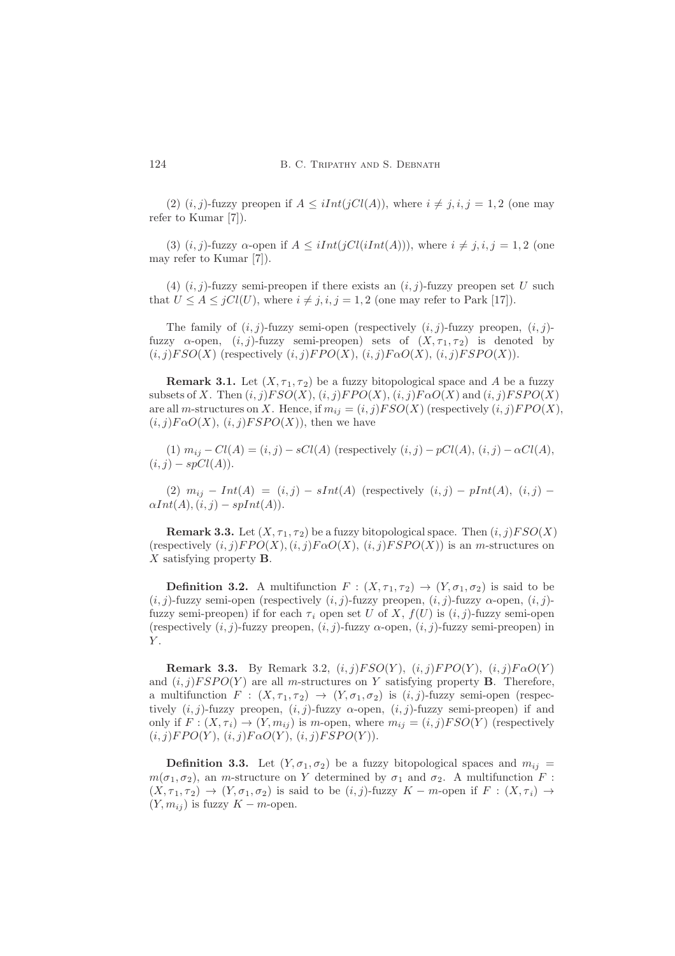(2)  $(i, j)$ -fuzzy preopen if  $A \leq iInt(jCl(A)),$  where  $i \neq j, i, j = 1, 2$  (one may refer to Kumar [7]).

(3)  $(i, j)$ -fuzzy  $\alpha$ -open if  $A \le iInt(jCl(iInt(A))),$  where  $i \ne j, i, j = 1, 2$  (one may refer to Kumar [7]).

(4)  $(i, j)$ -fuzzy semi-preopen if there exists an  $(i, j)$ -fuzzy preopen set U such that  $U \leq A \leq jCl(U)$ , where  $i \neq j, i, j = 1, 2$  (one may refer to Park [17]).

The family of  $(i, j)$ -fuzzy semi-open (respectively  $(i, j)$ -fuzzy preopen,  $(i, j)$ fuzzy  $\alpha$ -open,  $(i, j)$ -fuzzy semi-preopen) sets of  $(X, \tau_1, \tau_2)$  is denoted by  $(i, j)FSO(X)$  (respectively  $(i, j)FPO(X), (i, j)F\alpha O(X), (i, j)FSPO(X)$ ).

**Remark 3.1.** Let  $(X, \tau_1, \tau_2)$  be a fuzzy bitopological space and A be a fuzzy subsets of X. Then  $(i, j)FSO(X)$ ,  $(i, j)FPO(X)$ ,  $(i, j)F\alpha O(X)$  and  $(i, j)FSPO(X)$ are all m-structures on X. Hence, if  $m_{ij} = (i, j) FSO(X)$  (respectively  $(i, j) FPO(X)$ ,  $(i, j)F\alpha O(X), (i, j)FSPO(X)$ , then we have

(1)  $m_{ij} - Cl(A) = (i, j) - sCl(A)$  (respectively  $(i, j) - pCl(A), (i, j) - \alpha Cl(A)$ ,  $(i, j) - spCl(A)).$ 

(2)  $m_{ij} - Int(A) = (i, j) - sInt(A)$  (respectively  $(i, j) - pInt(A), (i, j) - pInt(A)$  $\alpha Int(A), (i, j) - splnt(A)).$ 

**Remark 3.3.** Let  $(X, \tau_1, \tau_2)$  be a fuzzy bitopological space. Then  $(i, j)FSO(X)$ (respectively  $(i, j)FPO(X), (i, j)F\alpha O(X), (i, j)FSPO(X)$ ) is an m-structures on  $X$  satisfying property  $\bf{B}$ .

**Definition 3.2.** A multifunction  $F : (X, \tau_1, \tau_2) \to (Y, \sigma_1, \sigma_2)$  is said to be  $(i, j)$ -fuzzy semi-open (respectively  $(i, j)$ -fuzzy preopen,  $(i, j)$ -fuzzy  $\alpha$ -open,  $(i, j)$ fuzzy semi-preopen) if for each  $\tau_i$  open set U of X,  $f(U)$  is  $(i, j)$ -fuzzy semi-open (respectively  $(i, j)$ -fuzzy preopen,  $(i, j)$ -fuzzy  $\alpha$ -open,  $(i, j)$ -fuzzy semi-preopen) in  $Y$ .

Remark 3.3. By Remark 3.2,  $(i, j) FSO(Y)$ ,  $(i, j) FPO(Y)$ ,  $(i, j) F\alpha O(Y)$ and  $(i, j)FSPO(Y)$  are all m-structures on Y satisfying property **B**. Therefore, a multifunction  $F : (X, \tau_1, \tau_2) \to (Y, \sigma_1, \sigma_2)$  is  $(i, j)$ -fuzzy semi-open (respectively  $(i, j)$ -fuzzy preopen,  $(i, j)$ -fuzzy  $\alpha$ -open,  $(i, j)$ -fuzzy semi-preopen) if and only if  $F: (X, \tau_i) \to (Y, m_{ij})$  is m-open, where  $m_{ij} = (i, j)FSO(Y)$  (respectively  $(i, j) FPO(Y), (i, j) F\alpha O(Y), (i, j) FSPO(Y)$ .

**Definition 3.3.** Let  $(Y, \sigma_1, \sigma_2)$  be a fuzzy bitopological spaces and  $m_{ij}$  $m(\sigma_1, \sigma_2)$ , an m-structure on Y determined by  $\sigma_1$  and  $\sigma_2$ . A multifunction F:  $(X, \tau_1, \tau_2) \to (Y, \sigma_1, \sigma_2)$  is said to be  $(i, j)$ -fuzzy  $K - m$ -open if  $F : (X, \tau_i) \to$  $(Y, m_{ij})$  is fuzzy  $K - m$ -open.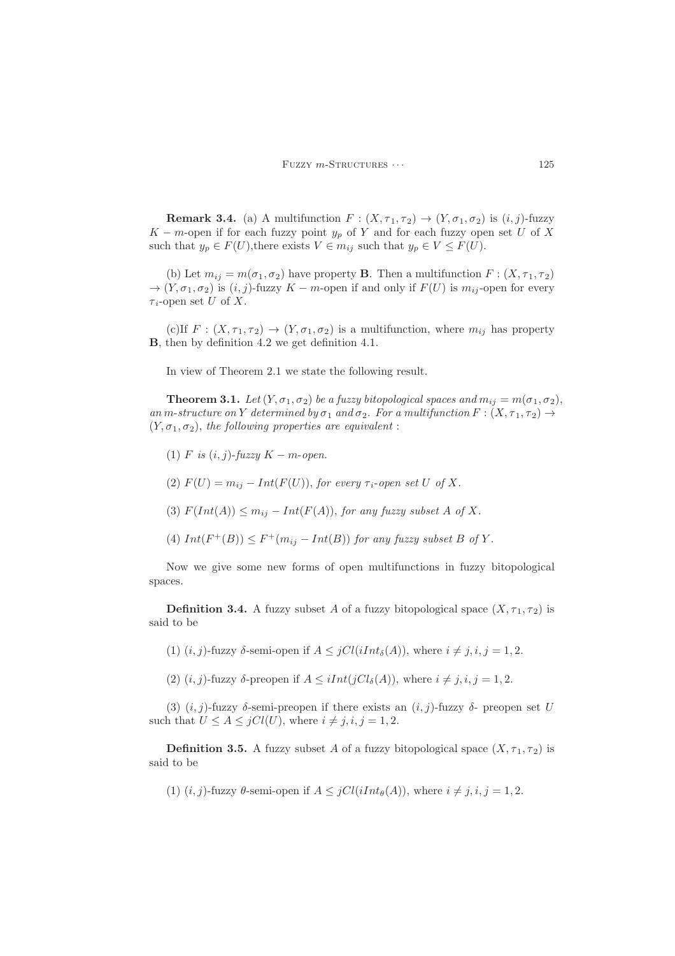**Remark 3.4.** (a) A multifunction  $F : (X, \tau_1, \tau_2) \to (Y, \sigma_1, \sigma_2)$  is  $(i, j)$ -fuzzy K – m-open if for each fuzzy point  $y_p$  of Y and for each fuzzy open set U of X such that  $y_p \in F(U)$ , there exists  $V \in m_{ij}$  such that  $y_p \in V \leq F(U)$ .

(b) Let  $m_{ij} = m(\sigma_1, \sigma_2)$  have property **B**. Then a multifunction  $F : (X, \tau_1, \tau_2)$  $\rightarrow (Y, \sigma_1, \sigma_2)$  is  $(i, j)$ -fuzzy  $K - m$ -open if and only if  $F(U)$  is  $m_{ij}$ -open for every  $\tau_i$ -open set U of X.

(c)If  $F: (X, \tau_1, \tau_2) \to (Y, \sigma_1, \sigma_2)$  is a multifunction, where  $m_{ij}$  has property B, then by definition 4.2 we get definition 4.1.

In view of Theorem 2.1 we state the following result.

**Theorem 3.1.** Let  $(Y, \sigma_1, \sigma_2)$  be a fuzzy bitopological spaces and  $m_{ij} = m(\sigma_1, \sigma_2)$ , an m-structure on Y determined by  $\sigma_1$  and  $\sigma_2$ . For a multifunction  $F : (X, \tau_1, \tau_2) \rightarrow$  $(Y, \sigma_1, \sigma_2)$ , the following properties are equivalent :

- (1) F is  $(i, j)$ -fuzzy  $K m$ -open.
- (2)  $F(U) = m_{ij} Int(F(U))$ , for every  $\tau_{i}$ -open set U of X.
- (3)  $F(Int(A)) \leq m_{ij} Int(F(A))$ , for any fuzzy subset A of X.
- (4)  $Int(F^+(B)) \leq F^+(m_{ij} Int(B))$  for any fuzzy subset B of Y.

Now we give some new forms of open multifunctions in fuzzy bitopological spaces.

**Definition 3.4.** A fuzzy subset A of a fuzzy bitopological space  $(X, \tau_1, \tau_2)$  is said to be

- (1)  $(i, j)$ -fuzzy  $\delta$ -semi-open if  $A \leq jCl(iInt_{\delta}(A))$ , where  $i \neq j, i, j = 1, 2$ .
- (2)  $(i, j)$ -fuzzy  $\delta$ -preopen if  $A \leq iInt(jCl_{\delta}(A))$ , where  $i \neq j, i, j = 1, 2$ .

(3)  $(i, j)$ -fuzzy  $\delta$ -semi-preopen if there exists an  $(i, j)$ -fuzzy  $\delta$ - preopen set U such that  $U \leq A \leq jCl(U)$ , where  $i \neq j, i, j = 1, 2$ .

**Definition 3.5.** A fuzzy subset A of a fuzzy bitopological space  $(X, \tau_1, \tau_2)$  is said to be

(1)  $(i, j)$ -fuzzy  $\theta$ -semi-open if  $A \leq jCl(iInt_{\theta}(A))$ , where  $i \neq j, i, j = 1, 2$ .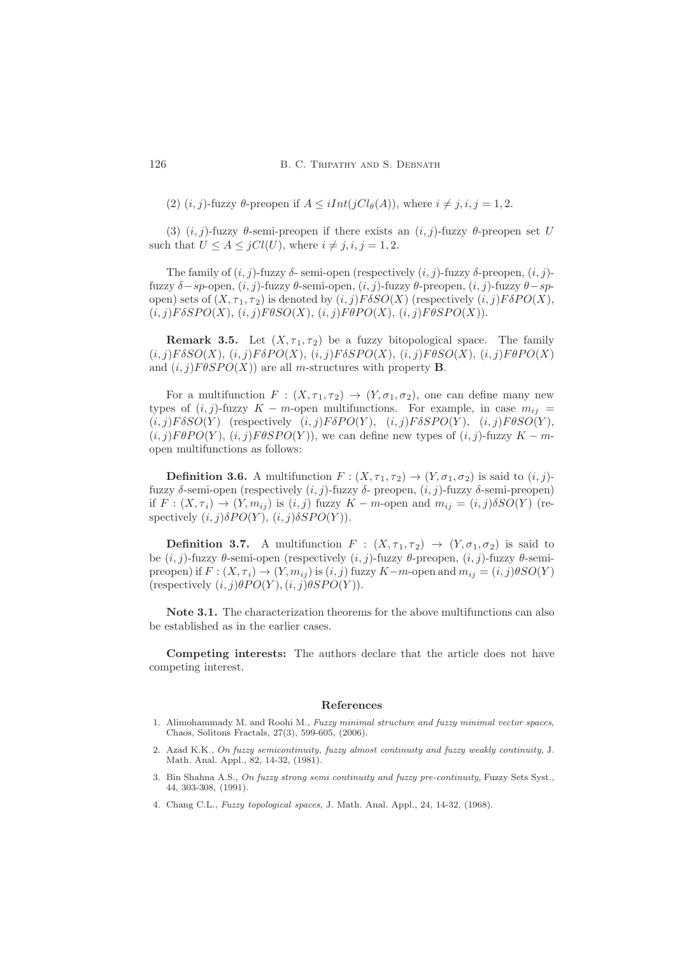(2)  $(i, j)$ -fuzzy  $\theta$ -preopen if  $A \leq iInt(jCl_{\theta}(A))$ , where  $i \neq j, i, j = 1, 2$ .

(3)  $(i, j)$ -fuzzy  $\theta$ -semi-preopen if there exists an  $(i, j)$ -fuzzy  $\theta$ -preopen set U such that  $U \leq A \leq jCl(U)$ , where  $i \neq j, i, j = 1, 2$ .

The family of  $(i, j)$ -fuzzy  $\delta$ - semi-open (respectively  $(i, j)$ -fuzzy  $\delta$ -preopen,  $(i, j)$ fuzzy δ−sp-open, (i, j)-fuzzy θ-semi-open, (i, j)-fuzzy θ-preopen, (i, j)-fuzzy θ−spopen) sets of  $(X, \tau_1, \tau_2)$  is denoted by  $(i, j)F\delta SO(X)$  (respectively  $(i, j)F\delta PO(X)$ ,  $(i, j)F\delta SPO(X), (i, j)F\theta SO(X), (i, j)F\theta PO(X), (i, j)F\theta SPO(X).$ 

**Remark 3.5.** Let  $(X, \tau_1, \tau_2)$  be a fuzzy bitopological space. The family  $(i, j)F\delta SO(X), (i, j)F\delta PO(X), (i, j)F\delta SPO(X), (i, j)F\theta SO(X), (i, j)F\theta PO(X)$ and  $(i, j)$ F $\theta$ SPO(X)) are all m-structures with property **B**.

For a multifunction  $F : (X, \tau_1, \tau_2) \to (Y, \sigma_1, \sigma_2)$ , one can define many new types of  $(i, j)$ -fuzzy K – m-open multifunctions. For example, in case  $m_{ij}$  =  $(i, j)F\delta SO(Y)$  (respectively  $(i, j)F\delta PO(Y)$ ,  $(i, j)F\delta SPO(Y)$ ,  $(i, j)F\theta SO(Y)$ ,  $(i, j)F\theta PO(Y), (i, j)F\theta SPO(Y)$ , we can define new types of  $(i, j)$ -fuzzy  $K - m$ open multifunctions as follows:

**Definition 3.6.** A multifunction  $F : (X, \tau_1, \tau_2) \to (Y, \sigma_1, \sigma_2)$  is said to  $(i, j)$ fuzzy δ-semi-open (respectively  $(i, j)$ -fuzzy δ- preopen,  $(i, j)$ -fuzzy δ-semi-preopen) if  $F: (X, \tau_i) \to (Y, m_{ij})$  is  $(i, j)$  fuzzy  $K - m$ -open and  $m_{ij} = (i, j) \delta SO(Y)$  (respectively  $(i, j) \delta PO(Y)$ ,  $(i, j) \delta SPO(Y)$ .

**Definition 3.7.** A multifunction  $F : (X, \tau_1, \tau_2) \to (Y, \sigma_1, \sigma_2)$  is said to be  $(i, j)$ -fuzzy θ-semi-open (respectively  $(i, j)$ -fuzzy θ-preopen,  $(i, j)$ -fuzzy θ-semipreopen) if  $F: (X, \tau_i) \to (Y, m_{ij})$  is  $(i, j)$  fuzzy  $K-m$ -open and  $m_{ij} = (i, j)\theta SO(Y)$ (respectively  $(i, j) \theta PO(Y), (i, j) \theta SPO(Y)$ ).

Note 3.1. The characterization theorems for the above multifunctions can also be established as in the earlier cases.

Competing interests: The authors declare that the article does not have competing interest.

#### <span id="page-7-0"></span>References

- 1. Alimohammady M. and Roohi M., *Fuzzy minimal structure and fuzzy minimal vector spaces*, Chaos, Solitons Fractals, 27(3), 599-605, (2006).
- 2. Azad K.K., *On fuzzy semicontinuity, fuzzy almost continuity and fuzzy weakly continuity*, J. Math. Anal. Appl., 82, 14-32, (1981).
- 3. Bin Shahna A.S., *On fuzzy strong semi continuity and fuzzy pre-continuity*, Fuzzy Sets Syst., 44, 303-308, (1991).
- 4. Chang C.L., *Fuzzy topological spaces*, J. Math. Anal. Appl., 24, 14-32, (1968).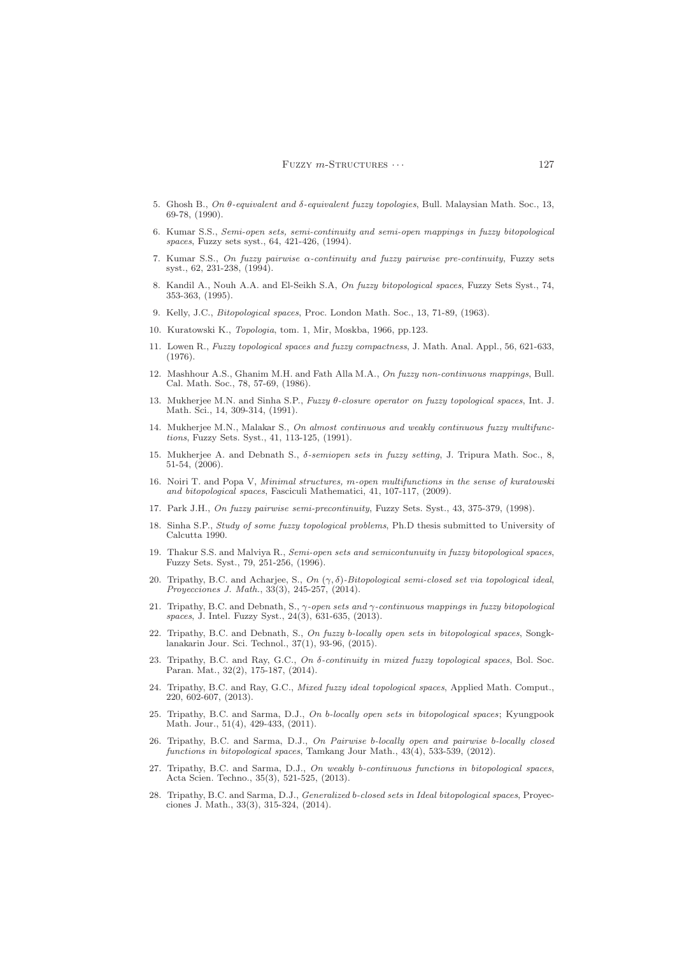- 5. Ghosh B., *On* θ*-equivalent and* δ*-equivalent fuzzy topologies*, Bull. Malaysian Math. Soc., 13, 69-78, (1990).
- 6. Kumar S.S., *Semi-open sets, semi-continuity and semi-open mappings in fuzzy bitopological spaces*, Fuzzy sets syst., 64, 421-426, (1994).
- 7. Kumar S.S., *On fuzzy pairwise* α*-continuity and fuzzy pairwise pre-continuity*, Fuzzy sets syst., 62, 231-238, (1994).
- 8. Kandil A., Nouh A.A. and El-Seikh S.A, *On fuzzy bitopological spaces*, Fuzzy Sets Syst., 74, 353-363, (1995).
- 9. Kelly, J.C., *Bitopological spaces*, Proc. London Math. Soc., 13, 71-89, (1963).
- 10. Kuratowski K., *Topologia*, tom. 1, Mir, Moskba, 1966, pp.123.
- 11. Lowen R., *Fuzzy topological spaces and fuzzy compactness*, J. Math. Anal. Appl., 56, 621-633, (1976).
- 12. Mashhour A.S., Ghanim M.H. and Fath Alla M.A., *On fuzzy non-continuous mappings*, Bull. Cal. Math. Soc., 78, 57-69, (1986).
- 13. Mukherjee M.N. and Sinha S.P., *Fuzzy* θ*-closure operator on fuzzy topological spaces*, Int. J. Math. Sci., 14, 309-314, (1991).
- 14. Mukherjee M.N., Malakar S., *On almost continuous and weakly continuous fuzzy multifunctions*, Fuzzy Sets. Syst., 41, 113-125, (1991).
- 15. Mukherjee A. and Debnath S., δ*-semiopen sets in fuzzy setting*, J. Tripura Math. Soc., 8, 51-54, (2006).
- 16. Noiri T. and Popa V, *Minimal structures,* m*-open multifunctions in the sense of kuratowski and bitopological spaces*, Fasciculi Mathematici, 41, 107-117, (2009).
- 17. Park J.H., *On fuzzy pairwise semi-precontinuity*, Fuzzy Sets. Syst., 43, 375-379, (1998).
- 18. Sinha S.P., *Study of some fuzzy topological problems*, Ph.D thesis submitted to University of Calcutta 1990.
- 19. Thakur S.S. and Malviya R., *Semi-open sets and semicontunuity in fuzzy bitopological spaces*, Fuzzy Sets. Syst., 79, 251-256, (1996).
- 20. Tripathy, B.C. and Acharjee, S., *On* (γ, δ)*-Bitopological semi-closed set via topological ideal*, *Proyecciones J. Math.*, 33(3), 245-257, (2014).
- 21. Tripathy, B.C. and Debnath, S., γ*-open sets and* γ*-continuous mappings in fuzzy bitopological spaces*, J. Intel. Fuzzy Syst., 24(3), 631-635, (2013).
- 22. Tripathy, B.C. and Debnath, S., *On fuzzy* b*-locally open sets in bitopological spaces*, Songklanakarin Jour. Sci. Technol., 37(1), 93-96, (2015).
- 23. Tripathy, B.C. and Ray, G.C., *On* δ*-continuity in mixed fuzzy topological spaces*, Bol. Soc. Paran. Mat., 32(2), 175-187, (2014).
- 24. Tripathy, B.C. and Ray, G.C., *Mixed fuzzy ideal topological spaces*, Applied Math. Comput., 220, 602-607, (2013).
- 25. Tripathy, B.C. and Sarma, D.J., *On* b*-locally open sets in bitopological spaces*; Kyungpook Math. Jour., 51(4), 429-433, (2011).
- 26. Tripathy, B.C. and Sarma, D.J., *On Pairwise* b*-locally open and pairwise* b*-locally closed functions in bitopological spaces*, Tamkang Jour Math., 43(4), 533-539, (2012).
- 27. Tripathy, B.C. and Sarma, D.J., *On weakly b-continuous functions in bitopological spaces*, Acta Scien. Techno., 35(3), 521-525, (2013).
- 28. Tripathy, B.C. and Sarma, D.J., *Generalized* b*-closed sets in Ideal bitopological spaces*, Proyecciones J. Math., 33(3), 315-324, (2014).